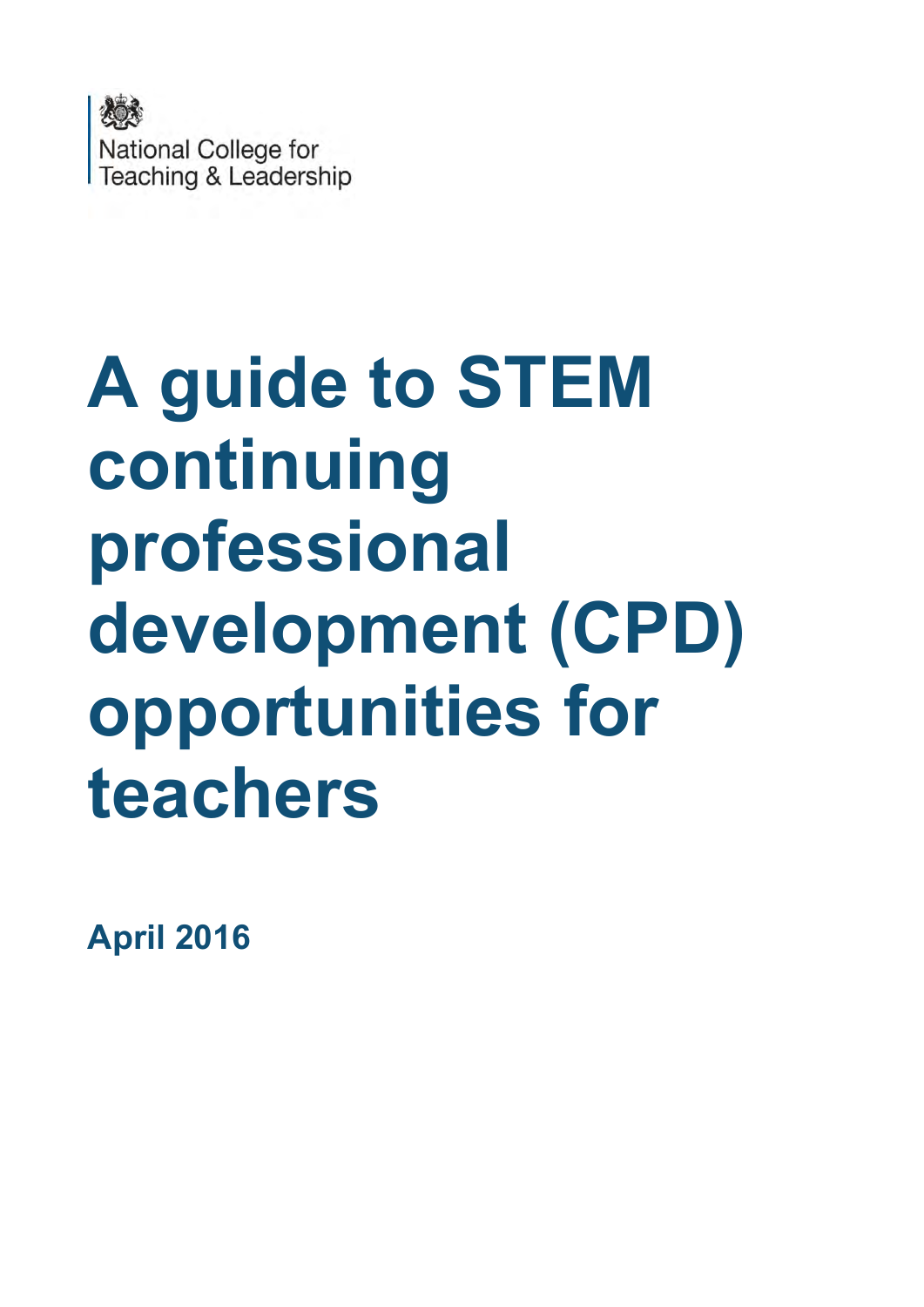

# **A guide to STEM continuing professional development (CPD) opportunities for teachers**

**April 2016**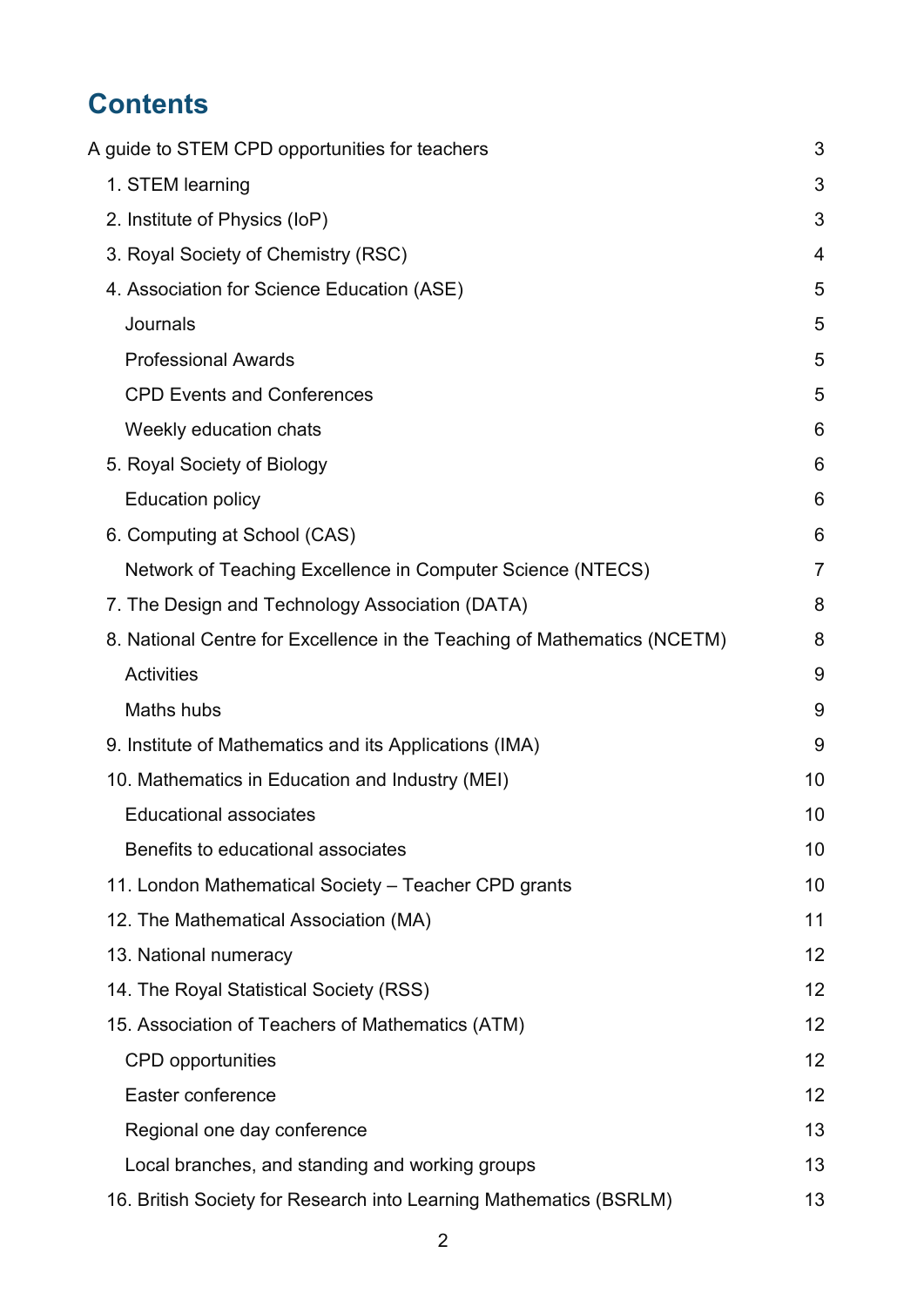# **Contents**

| A guide to STEM CPD opportunities for teachers                           | 3              |
|--------------------------------------------------------------------------|----------------|
| 1. STEM learning                                                         | 3              |
| 2. Institute of Physics (IoP)                                            | 3              |
| 3. Royal Society of Chemistry (RSC)                                      | 4              |
| 4. Association for Science Education (ASE)                               | 5              |
| Journals                                                                 | 5              |
| <b>Professional Awards</b>                                               | 5              |
| <b>CPD Events and Conferences</b>                                        | 5              |
| Weekly education chats                                                   | 6              |
| 5. Royal Society of Biology                                              | 6              |
| <b>Education policy</b>                                                  | 6              |
| 6. Computing at School (CAS)                                             | 6              |
| Network of Teaching Excellence in Computer Science (NTECS)               | $\overline{7}$ |
| 7. The Design and Technology Association (DATA)                          | 8              |
| 8. National Centre for Excellence in the Teaching of Mathematics (NCETM) | 8              |
| <b>Activities</b>                                                        | 9              |
| <b>Maths hubs</b>                                                        | 9              |
| 9. Institute of Mathematics and its Applications (IMA)                   | 9              |
| 10. Mathematics in Education and Industry (MEI)                          | 10             |
| <b>Educational associates</b>                                            | 10             |
| Benefits to educational associates                                       | 10             |
| 11. London Mathematical Society – Teacher CPD grants                     | 10             |
| 12. The Mathematical Association (MA)                                    | 11             |
| 13. National numeracy                                                    | 12             |
| 14. The Royal Statistical Society (RSS)                                  | 12             |
| 15. Association of Teachers of Mathematics (ATM)                         | 12             |
| <b>CPD</b> opportunities                                                 | 12             |
| Easter conference                                                        | 12             |
| Regional one day conference                                              | 13             |
| Local branches, and standing and working groups                          | 13             |
| 16. British Society for Research into Learning Mathematics (BSRLM)       | 13             |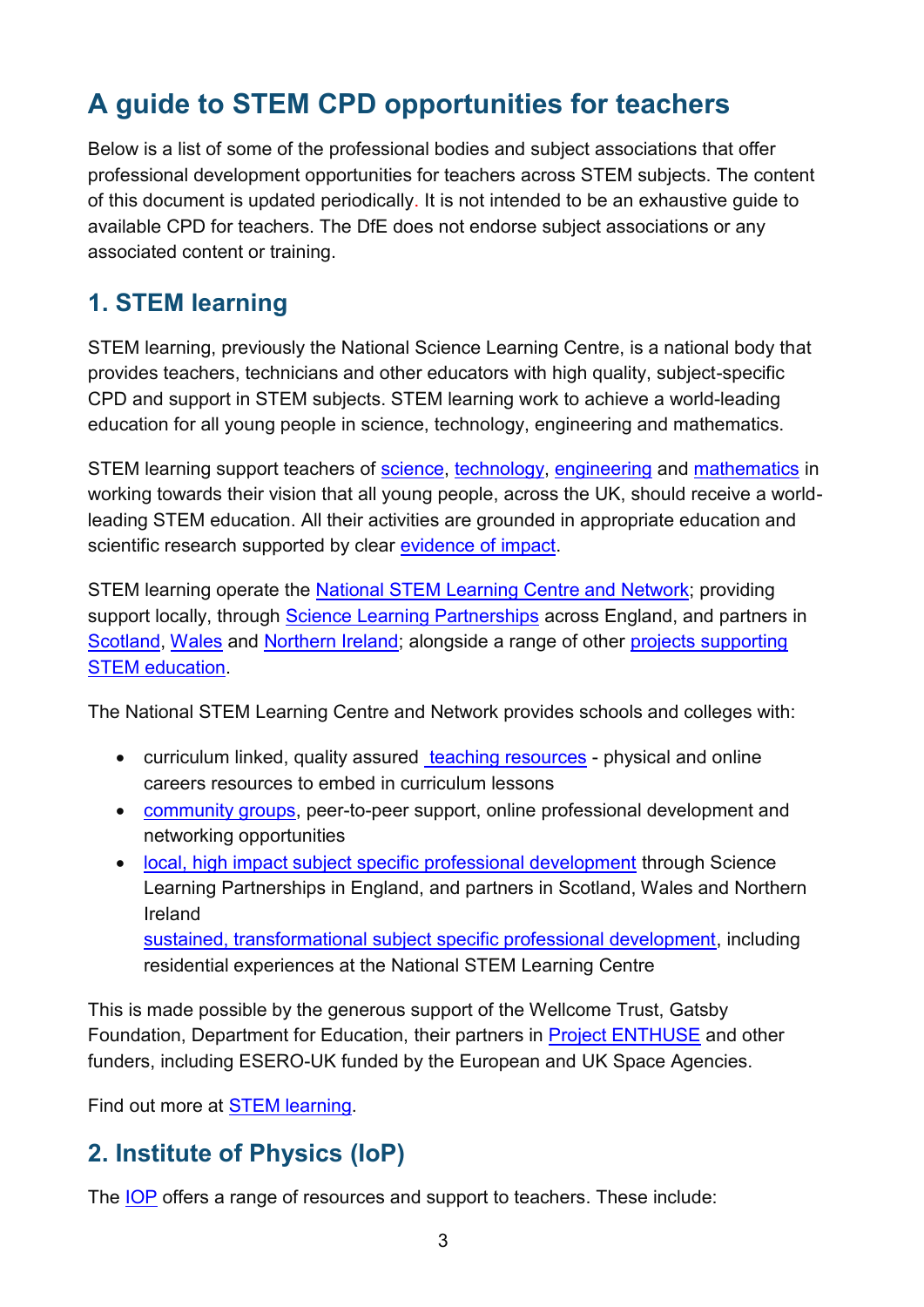# <span id="page-2-0"></span>**A guide to STEM CPD opportunities for teachers**

Below is a list of some of the professional bodies and subject associations that offer professional development opportunities for teachers across STEM subjects. The content of this document is updated periodically. It is not intended to be an exhaustive guide to available CPD for teachers. The DfE does not endorse subject associations or any associated content or training.

### <span id="page-2-1"></span>**1. STEM learning**

STEM learning, previously the National Science Learning Centre, is a national body that provides teachers, technicians and other educators with high quality, subject-specific CPD and support in STEM subjects. STEM learning work to achieve a world-leading education for all young people in science, technology, engineering and mathematics.

STEM learning support teachers of [science,](https://www.stem.org.uk/audience/secondary-science) [technology,](https://www.stem.org.uk/audience/secondary-design) [engineering](https://www.stem.org.uk/elibrary/collection/4115/young-engineers) and [mathematics](https://www.stem.org.uk/audience/secondary-mathematics) in working towards their vision that all young people, across the UK, should receive a worldleading STEM education. All their activities are grounded in appropriate education and scientific research supported by clear [evidence of impact.](https://www.stem.org.uk/impact)

STEM learning operate the [National STEM Learning Centre and Network;](https://www.stem.org.uk/about-us-test) providing support locally, through [Science Learning Partnerships](https://www.stem.org.uk/science-learning-partnerships) across England, and partners in [Scotland,](http://www.sserc.org.uk/) [Wales](http://www.techniquest.org/) and [Northern Ireland;](http://www.eani.org.uk/) alongside a range of other [projects supporting](https://www.stem.org.uk/cpd-partners)  [STEM education.](https://www.stem.org.uk/cpd-partners)

The National STEM Learning Centre and Network provides schools and colleges with:

- curriculum linked, quality assured [teaching resources](https://www.stem.org.uk/resources)  physical and online careers resources to embed in curriculum lessons
- [community groups,](https://www.stem.org.uk/magazine/groups) peer-to-peer support, online professional development and networking opportunities
- [local, high impact subject specific professional development](https://www.stem.org.uk/cpd/search?f%5b0%5d=field_courses_deliverer%3ARegional%20Operator%201&f%5b1%5d=field_courses_deliverer%3ARegional%20Operator%203&f%5b2%5d=field_courses_deliverer%3ARegional%20Operator%202&f%5b3%5d=field_courses_deliverer%3ARegional%20Operator%204&f%5b4%5d=field_courses_deliverer%3ARegional%20Operator%205) through Science Learning Partnerships in England, and partners in Scotland, Wales and Northern Ireland [sustained, transformational subject specific professional development,](https://www.stem.org.uk/cpd/search?f%5b0%5d=field_courses_deliverer%3ANational%20Operator) including residential experiences at the National STEM Learning Centre

This is made possible by the generous support of the Wellcome Trust, Gatsby Foundation, Department for Education, their partners in [Project ENTHUSE](https://www.stem.org.uk/project-enthuse) and other funders, including ESERO-UK funded by the European and UK Space Agencies.

Find out more at **STEM** learning.

# <span id="page-2-2"></span>**2. Institute of Physics (IoP)**

The [IOP](http://www.iop.org/education/index.html) offers a range of resources and support to teachers. These include: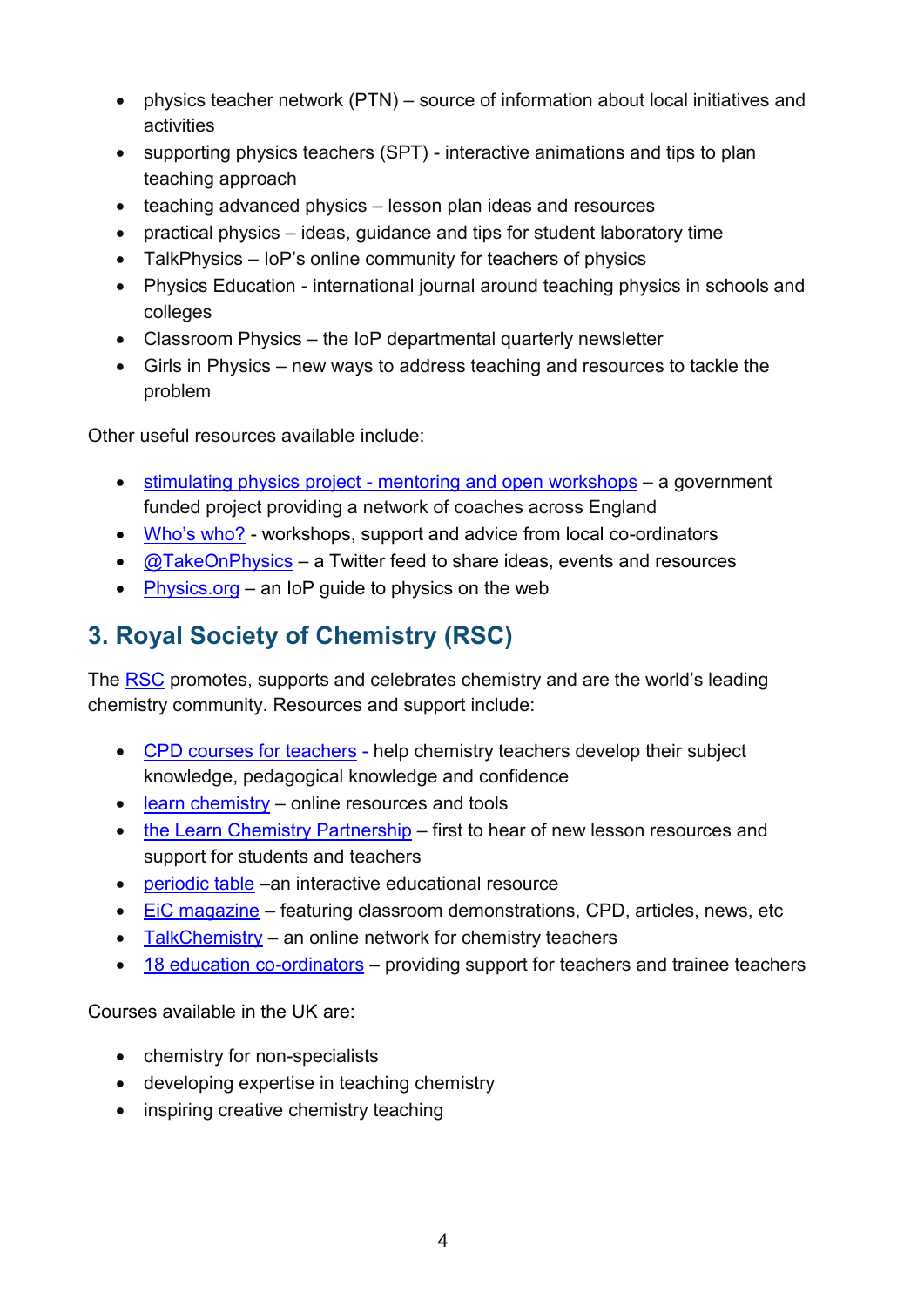- physics teacher network (PTN) source of information about local initiatives and activities
- supporting physics teachers (SPT) interactive animations and tips to plan teaching approach
- teaching advanced physics lesson plan ideas and resources
- practical physics ideas, guidance and tips for student laboratory time
- TalkPhysics IoP's online community for teachers of physics
- Physics Education international journal around teaching physics in schools and colleges
- Classroom Physics the IoP departmental quarterly newsletter
- Girls in Physics new ways to address teaching and resources to tackle the problem

Other useful resources available include:

- [stimulating physics project mentoring and open workshops](http://www.stimulatingphysics.org/)  a government funded project providing a network of coaches across England
- [Who's who?](http://www.iop.org/education/ltp/resources/file_63662.pdf)  workshops, support and advice from local co-ordinators
- $\odot$   $\alpha$ TakeOnPhysics a Twitter feed to share ideas, events and resources
- [Physics.org](http://www.physics.org/) an IoP quide to physics on the web

# <span id="page-3-0"></span>**3. Royal Society of Chemistry (RSC)**

The [RSC](http://www.rsc.org/careers/cpd/teachers) promotes, supports and celebrates chemistry and are the world's leading chemistry community. Resources and support include:

- [CPD courses for teachers](http://www.rsc.org/careers/cpd/teachers) help chemistry teachers develop their subject knowledge, pedagogical knowledge and confidence
- $\cdot$  [learn chemistry](http://www.rsc.org/learn-chemistry)  online resources and tools
- [the Learn Chemistry Partnership](http://www.rsc.org/membership-and-community/supporting-organisations/)  first to hear of new lesson resources and support for students and teachers
- [periodic table](http://www.rsc.org/periodic-table) –an interactive educational resource
- [EiC magazine](http://www.rsc.org/eic/)  featuring classroom demonstrations, CPD, articles, news, etc
- $\bullet$  [TalkChemistry](http://my.rsc.org/talkchemistry)  an online network for chemistry teachers
- [18 education co-ordinators](http://www.rsc.org/locations-contacts/contact-us/campaigning-outreach/education-coordinators/)  providing support for teachers and trainee teachers

Courses available in the UK are:

- chemistry for non-specialists
- developing expertise in teaching chemistry
- inspiring creative chemistry teaching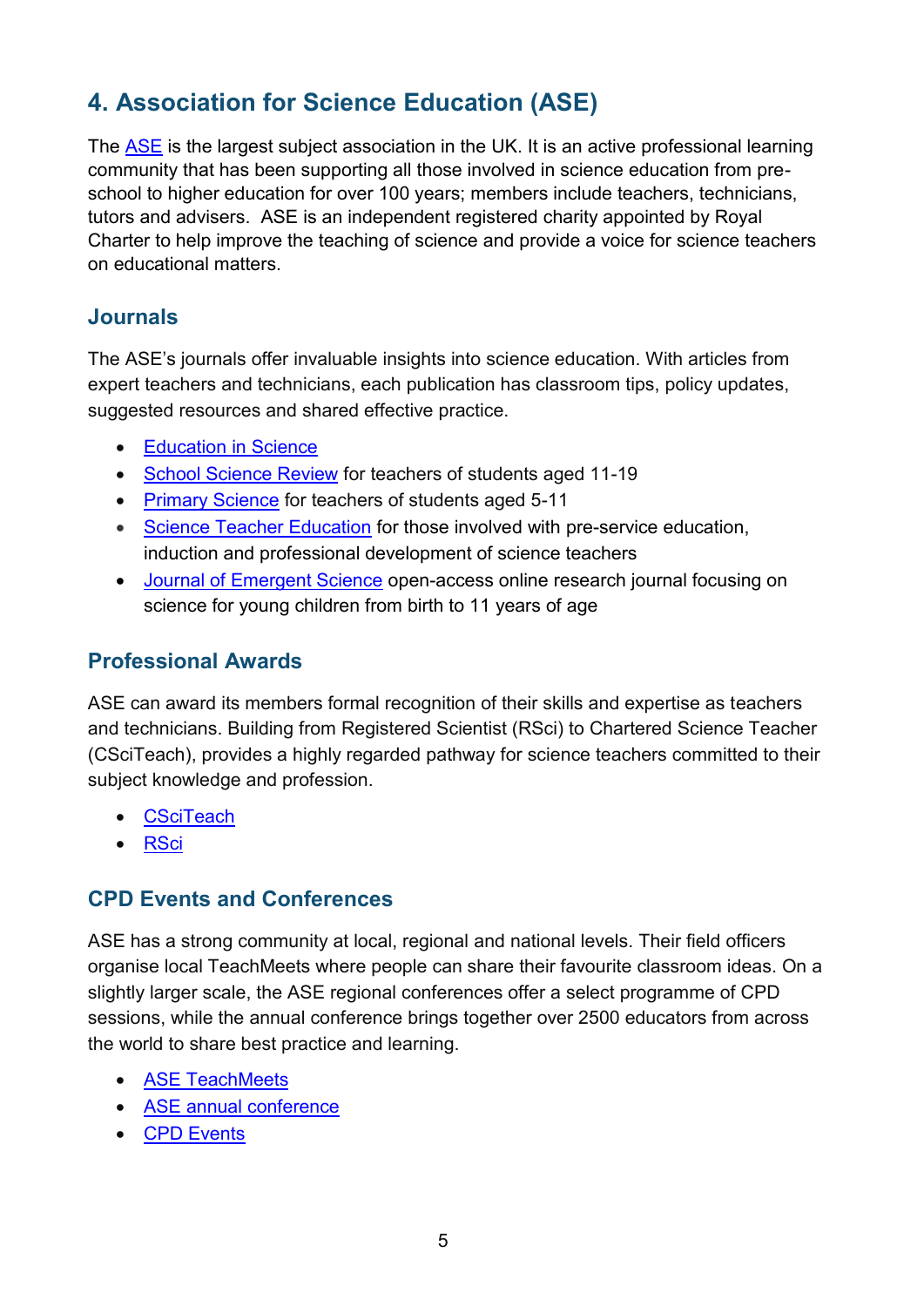# <span id="page-4-0"></span>**4. Association for Science Education (ASE)**

The [ASE](http://www.ase.org.uk/home/) is the largest subject association in the UK. It is an active professional learning community that has been supporting all those involved in science education from preschool to higher education for over 100 years; members include teachers, technicians, tutors and advisers. ASE is an independent registered charity appointed by Royal Charter to help improve the teaching of science and provide a voice for science teachers on educational matters.

#### <span id="page-4-1"></span>**Journals**

The ASE's journals offer invaluable insights into science education. With articles from expert teachers and technicians, each publication has classroom tips, policy updates, suggested resources and shared effective practice.

- [Education in Science](http://www.ase.org.uk/journals/education-in-science/)
- [School Science Review](http://www.ase.org.uk/journals/school-science-review/) for teachers of students aged 11-19
- [Primary Science](http://www.ase.org.uk/journals/primary-science/) for teachers of students aged 5-11
- [Science Teacher Education](http://www.ase.org.uk/journals/science-teacher-education/) for those involved with pre-service education, induction and professional development of science teachers
- [Journal of Emergent Science](http://www.ase.org.uk/journals/journal-of-emergent-science/) open-access online research journal focusing on science for young children from birth to 11 years of age

#### <span id="page-4-2"></span>**Professional Awards**

ASE can award its members formal recognition of their skills and expertise as teachers and technicians. Building from Registered Scientist (RSci) to Chartered Science Teacher (CSciTeach), provides a highly regarded pathway for science teachers committed to their subject knowledge and profession.

- **[CSciTeach](http://www.ase.org.uk/professional-development/ase-chartered-science-teacher-csciteach/)**
- **[RSci](http://www.ase.org.uk/professional-development/registered-science-technician-rscitech/)**

#### <span id="page-4-3"></span>**CPD Events and Conferences**

ASE has a strong community at local, regional and national levels. Their field officers organise local TeachMeets where people can share their favourite classroom ideas. On a slightly larger scale, the ASE regional conferences offer a select programme of CPD sessions, while the annual conference brings together over 2500 educators from across the world to share best practice and learning.

- [ASE TeachMeets](http://www.ase.org.uk/news/teachmeets/)
- [ASE annual conference](http://www.ase.org.uk/conferences/annual-conference/)
- [CPD Events](http://www.ase.org.uk/conferences/)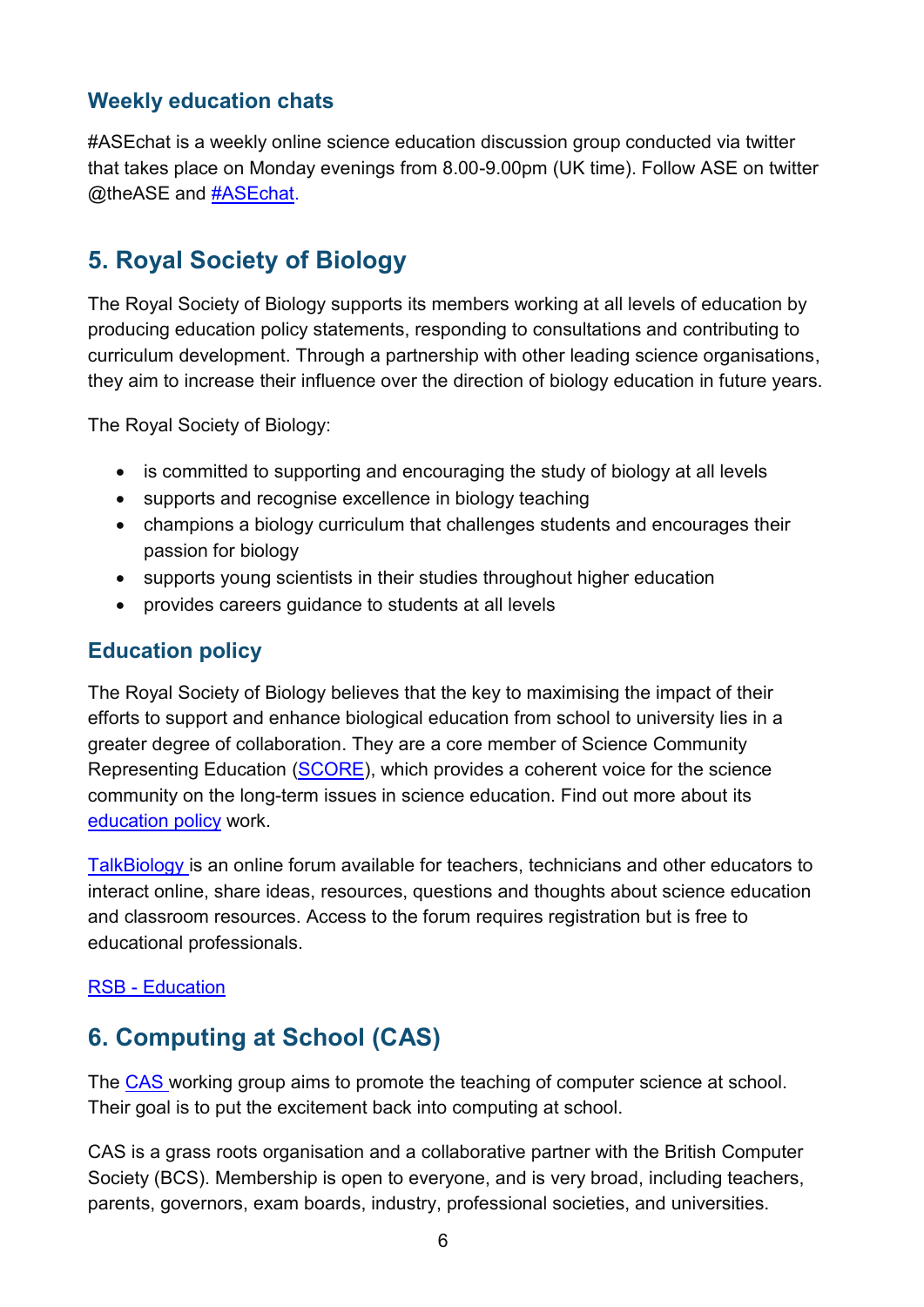#### <span id="page-5-0"></span>**Weekly education chats**

#ASEchat is a weekly online science education discussion group conducted via twitter that takes place on Monday evenings from 8.00-9.00pm (UK time). Follow ASE on twitter @theASE and **#ASEchat**.

# <span id="page-5-1"></span>**5. Royal Society of Biology**

The Royal Society of Biology supports its members working at all levels of education by producing education policy statements, responding to consultations and contributing to curriculum development. Through a partnership with other leading science organisations, they aim to increase their influence over the direction of biology education in future years.

The Royal Society of Biology:

- is committed to supporting and encouraging the study of biology at all levels
- supports and recognise excellence in biology teaching
- champions a biology curriculum that challenges students and encourages their passion for biology
- supports young scientists in their studies throughout higher education
- provides careers guidance to students at all levels

#### <span id="page-5-2"></span>**Education policy**

The Royal Society of Biology believes that the key to maximising the impact of their efforts to support and enhance biological education from school to university lies in a greater degree of collaboration. They are a core member of Science Community Representing Education [\(SCORE\)](https://www.societyofbiology.org/policy/education-policy/school-policy/score), which provides a coherent voice for the science community on the long-term issues in science education. Find out more about its [education policy](https://www.societyofbiology.org/policy/education-policy) work.

[TalkBiology](http://talkbiology.societyofbiology.org/) is an online forum available for teachers, technicians and other educators to interact online, share ideas, resources, questions and thoughts about science education and classroom resources. Access to the forum requires registration but is free to educational professionals.

#### [RSB - Education](https://www.rsb.org.uk/education)

# <span id="page-5-3"></span>**6. Computing at School (CAS)**

The [CAS w](http://www.computingatschool.org.uk/)orking group aims to promote the teaching of computer science at school. Their goal is to put the excitement back into computing at school.

CAS is a grass roots organisation and a collaborative partner with the British Computer Society (BCS). Membership is open to everyone, and is very broad, including teachers, parents, governors, exam boards, industry, professional societies, and universities.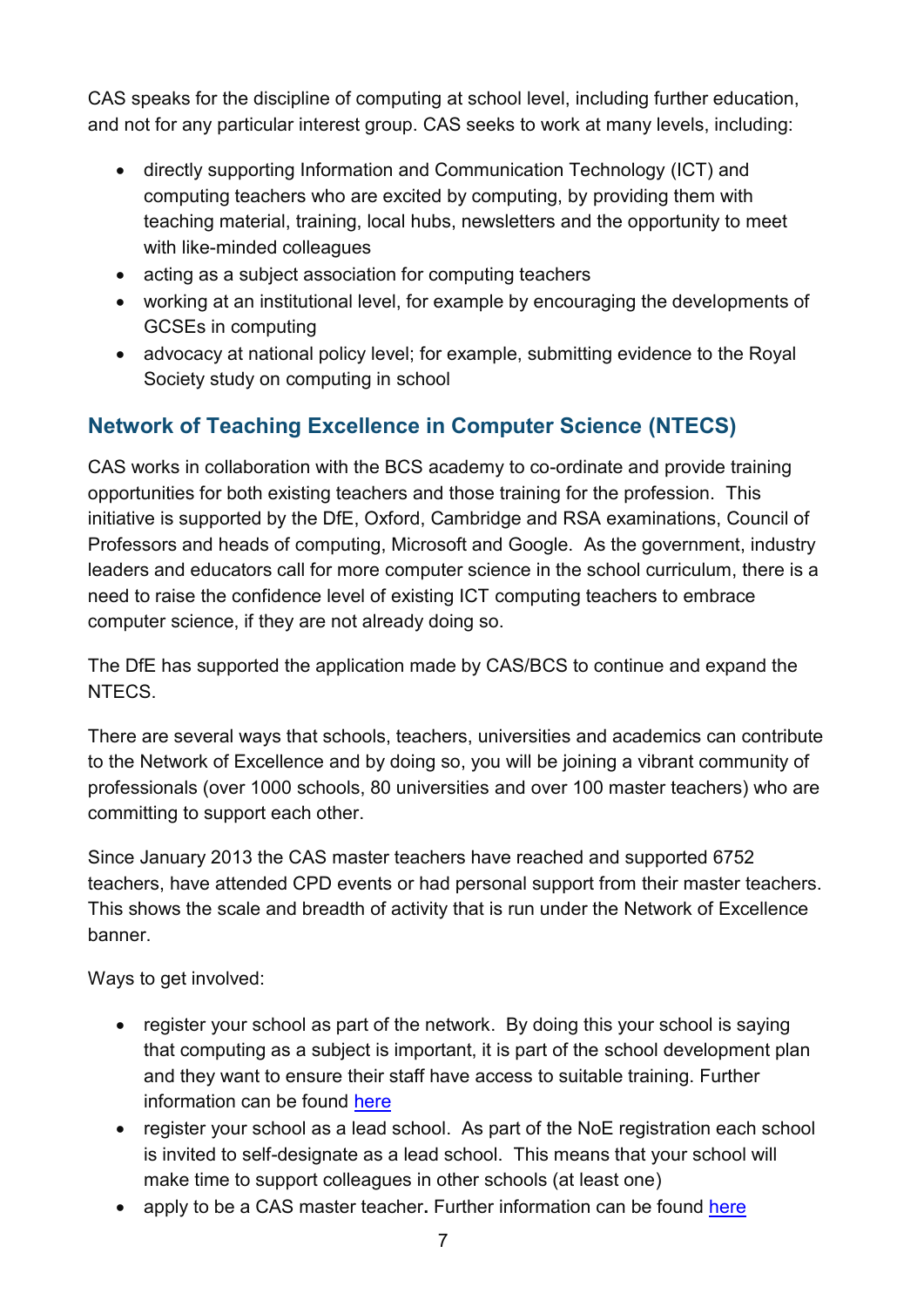CAS speaks for the discipline of computing at school level, including further education, and not for any particular interest group. CAS seeks to work at many levels, including:

- directly supporting Information and Communication Technology (ICT) and computing teachers who are excited by computing, by providing them with teaching material, training, local hubs, newsletters and the opportunity to meet with like-minded colleagues
- acting as a subject association for computing teachers
- working at an institutional level, for example by encouraging the developments of GCSEs in computing
- advocacy at national policy level; for example, submitting evidence to the Royal Society study on computing in school

#### <span id="page-6-0"></span>**Network of Teaching Excellence in Computer Science (NTECS)**

CAS works in collaboration with the BCS academy to co-ordinate and provide training opportunities for both existing teachers and those training for the profession. This initiative is supported by the DfE, Oxford, Cambridge and RSA examinations, Council of Professors and heads of computing, Microsoft and Google. As the government, industry leaders and educators call for more computer science in the school curriculum, there is a need to raise the confidence level of existing ICT computing teachers to embrace computer science, if they are not already doing so.

The DfE has supported the application made by CAS/BCS to continue and expand the NTECS.

There are several ways that schools, teachers, universities and academics can contribute to the Network of Excellence and by doing so, you will be joining a vibrant community of professionals (over 1000 schools, 80 universities and over 100 master teachers) who are committing to support each other.

Since January 2013 the CAS master teachers have reached and supported 6752 teachers, have attended CPD events or had personal support from their master teachers. This shows the scale and breadth of activity that is run under the Network of Excellence banner.

Ways to get involved:

- register your school as part of the network. By doing this your school is saying that computing as a subject is important, it is part of the school development plan and they want to ensure their staff have access to suitable training. Further information can be found [here](http://academy.bcs.org/about-academy)
- register your school as a lead school. As part of the NoE registration each school is invited to self-designate as a lead school. This means that your school will make time to support colleagues in other schools (at least one)
- apply to be a CAS master teacher. Further information can be found [here](http://community.computingatschool.org.uk/door?need_login=1)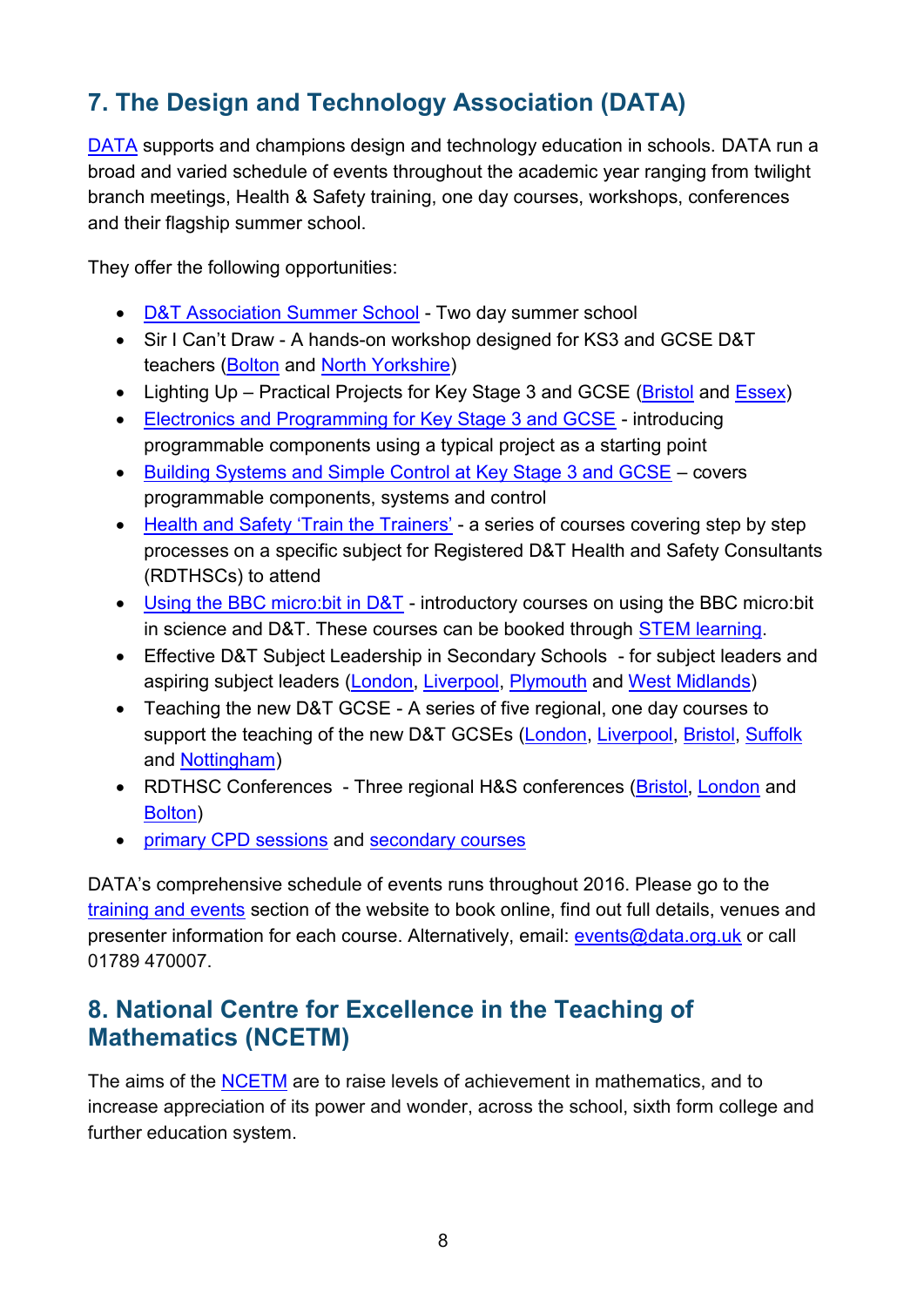# <span id="page-7-0"></span>**7. The Design and Technology Association (DATA)**

[DATA](https://www.data.org.uk/) supports and champions design and technology education in schools. DATA run a broad and varied schedule of events throughout the academic year ranging from twilight branch meetings, Health & Safety training, one day courses, workshops, conferences and their flagship summer school.

They offer the following opportunities:

- [D&T Association Summer School](https://www.data.org.uk/training-and-events/?cat=Summer+School&orderBy=%20-%20pager) Two day summer school
- Sir I Can't Draw A hands-on workshop designed for KS3 and GCSE D&T teachers [\(Bolton](https://www.data.org.uk/event-sessions/sir-i-cant-draw-bolton-lancs/) and [North Yorkshire\)](https://www.data.org.uk/event-sessions/sir-i-cant-draw-2016-redcar-n-yorkshire/)
- Lighting Up Practical Projects for Key Stage 3 and GCSE [\(Bristol](https://www.data.org.uk/event-sessions/lighting-up-practical-projects-for-ks3-gcse-bristol/) and [Essex\)](https://www.data.org.uk/event-sessions/lighting-up-practical-projects-for-ks3-and-gcse-essex/)
- [Electronics and Programming for Key Stage 3 and GCSE](https://www.data.org.uk/event-sessions/introducing-pics-pcbs-and-programming-in-ks3-and-gcse-dt-activity-canterbury/)  introducing programmable components using a typical project as a starting point
- [Building Systems and Simple Control at Key Stage 3 and GCSE](https://www.data.org.uk/event-sessions/building-systems-simple-control-at-ks3-gcse-south-east-london/)  covers programmable components, systems and control
- [Health and Safety 'Train the Trainers'](https://www.data.org.uk/training-and-events/train-the-trainers-hs-for-dt-workshop-technicians-s12hs-11-april/) a series of courses covering step by step processes on a specific subject for Registered D&T Health and Safety Consultants (RDTHSCs) to attend
- [Using the BBC micro:bit in D&T](https://www.stem.org.uk/cpd/ondemand/43538/bbc-microbit-science-and-design-technology-%E2%80%93-microbit-stem-roadshow)  introductory courses on using the BBC micro:bit in science and D&T. These courses can be booked through [STEM learning.](https://www.stem.org.uk/user/login?destination=node/43538)
- Effective D&T Subject Leadership in Secondary Schools for subject leaders and aspiring subject leaders [\(London,](https://www.data.org.uk/event-sessions/becoming-an-excellent-secondary-dt-subject-leader-london/) [Liverpool,](https://www.data.org.uk/event-sessions/becoming-an-excellent-secondary-dt-subject-leader-liverpool/) [Plymouth](https://www.data.org.uk/event-sessions/becoming-an-excellent-secondary-dt-subject-leader-plymouth/) and [West Midlands\)](https://www.data.org.uk/event-sessions/becoming-an-excellent-secondary-dt-subject-leader-plymouth/)
- Teaching the new D&T GCSE A series of five regional, one day courses to support the teaching of the new D&T GCSEs [\(London,](https://www.data.org.uk/event-sessions/planning-to-teach-the-new-gcse-in-design-and-technology-london/) [Liverpool,](https://www.data.org.uk/event-sessions/planning-to-teach-the-new-gcse-in-design-and-technology-liverpool/) [Bristol,](https://www.data.org.uk/event-sessions/planning-to-teach-the-new-gcse-in-design-and-technology-bristol/) [Suffolk](https://www.data.org.uk/event-sessions/planning-to-teach-the-new-gcse-in-design-and-technology-suffolk/) and [Nottingham\)](https://www.data.org.uk/event-sessions/planning-to-teach-the-new-gcse-in-design-and-technology-nottingham/)
- RDTHSC Conferences Three regional H&S conferences [\(Bristol,](https://www.data.org.uk/event-sessions/rdthsc-conference-bristol-2016/) [London](https://www.data.org.uk/event-sessions/rdthsc-conference-london-2016/) and [Bolton\)](https://www.data.org.uk/event-sessions/rdthsc-conference-bolton-2016/)
- [primary CPD sessions](https://www.data.org.uk/training-and-events/?cat=Primary+one+day+CPD+event&orderBy=%20-%20pager) and [secondary courses](https://www.data.org.uk/training-and-events/?cat=Secondary+one+day+CPD+event&orderBy=%20-%20pager)

DATA's comprehensive schedule of events runs throughout 2016. Please go to the [training and events](https://www.data.org.uk/training-and-events) section of the website to book online, find out full details, venues and presenter information for each course. Alternatively, email: [events@data.org.uk](mailto:events@data.org.uk) or call 01789 470007.

## <span id="page-7-1"></span>**8. National Centre for Excellence in the Teaching of Mathematics (NCETM)**

The aims of the [NCETM](https://www.ncetm.org.uk/) are to raise levels of achievement in mathematics, and to increase appreciation of its power and wonder, across the school, sixth form college and further education system.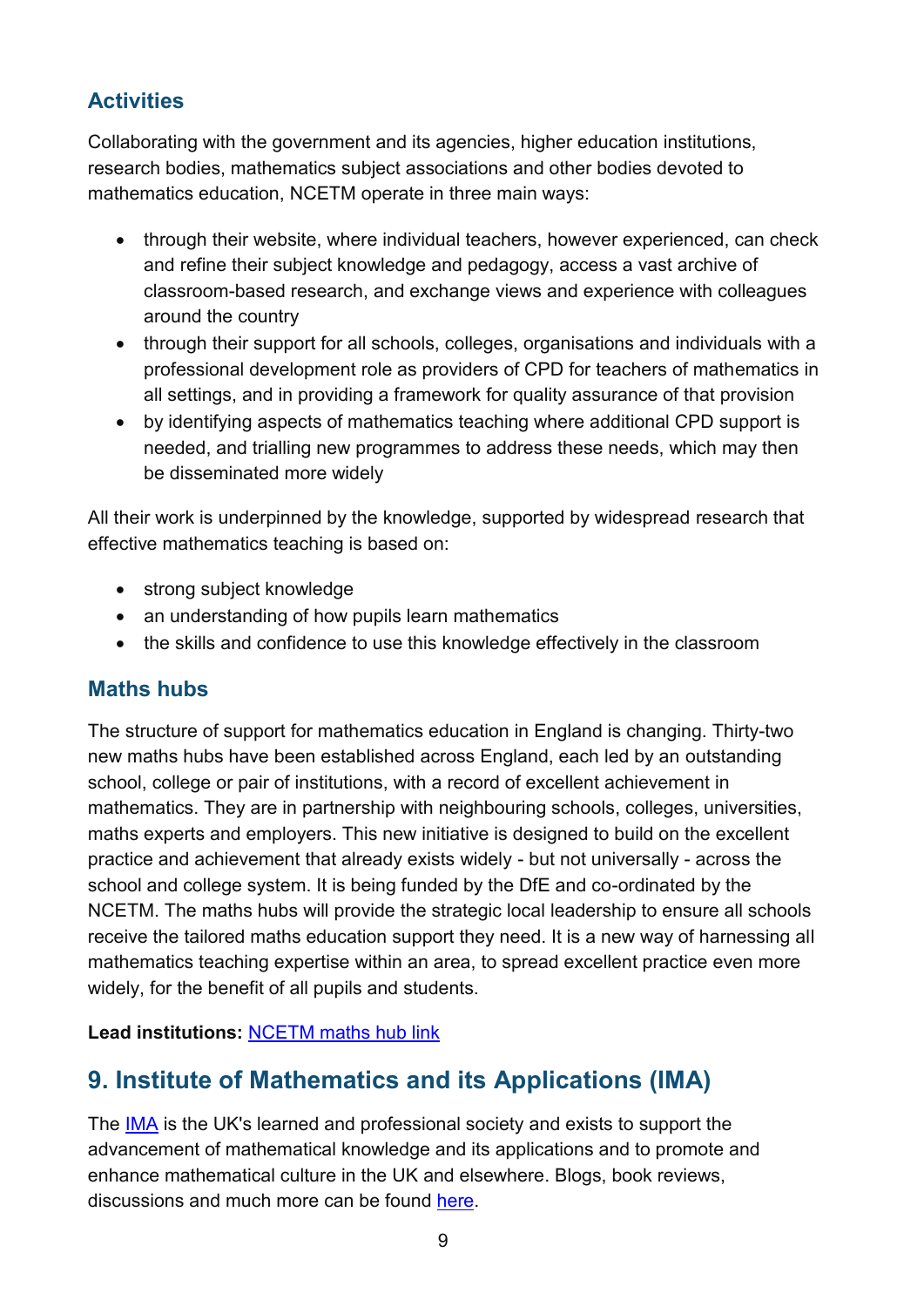#### <span id="page-8-0"></span>**Activities**

Collaborating with the government and its agencies, higher education institutions, research bodies, mathematics subject associations and other bodies devoted to mathematics education, NCETM operate in three main ways:

- through their website, where individual teachers, however experienced, can check and refine their subject knowledge and pedagogy, access a vast archive of classroom-based research, and exchange views and experience with colleagues around the country
- through their support for all schools, colleges, organisations and individuals with a professional development role as providers of CPD for teachers of mathematics in all settings, and in providing a framework for quality assurance of that provision
- by identifying aspects of mathematics teaching where additional CPD support is needed, and trialling new programmes to address these needs, which may then be disseminated more widely

All their work is underpinned by the knowledge, supported by widespread research that effective mathematics teaching is based on:

- strong subject knowledge
- an understanding of how pupils learn mathematics
- the skills and confidence to use this knowledge effectively in the classroom

#### <span id="page-8-1"></span>**Maths hubs**

The structure of support for mathematics education in England is changing. Thirty-two new maths hubs have been established across England, each led by an [outstanding](https://www.ncetm.org.uk/resources/44949)  [school, college or pair of institutions,](https://www.ncetm.org.uk/resources/44949) with a record of excellent achievement in mathematics. They are in partnership with neighbouring schools, colleges, universities, maths experts and employers. This new initiative is designed to build on the excellent practice and achievement that already exists widely - but not universally - across the school and college system. It is being funded by the DfE and co-ordinated by the NCETM. The maths hubs will provide the strategic local leadership to ensure all schools receive the tailored maths education support they need. It is a new way of harnessing all mathematics teaching expertise within an area, to spread excellent practice even more widely, for the benefit of all pupils and students.

**Lead institutions:** [NCETM maths hub link](https://www.ncetm.org.uk/resources/46070)

# <span id="page-8-2"></span>**9. Institute of Mathematics and its Applications (IMA)**

The [IMA](http://www.ima.org.uk/about_us.cfm.html) is the UK's learned and professional society and exists to support the advancement of mathematical knowledge and its applications and to promote and enhance mathematical culture in the UK and elsewhere. Blogs, book reviews, discussions and much more can be found [here.](http://www.ima.org.uk/i_love_maths.cfm.html)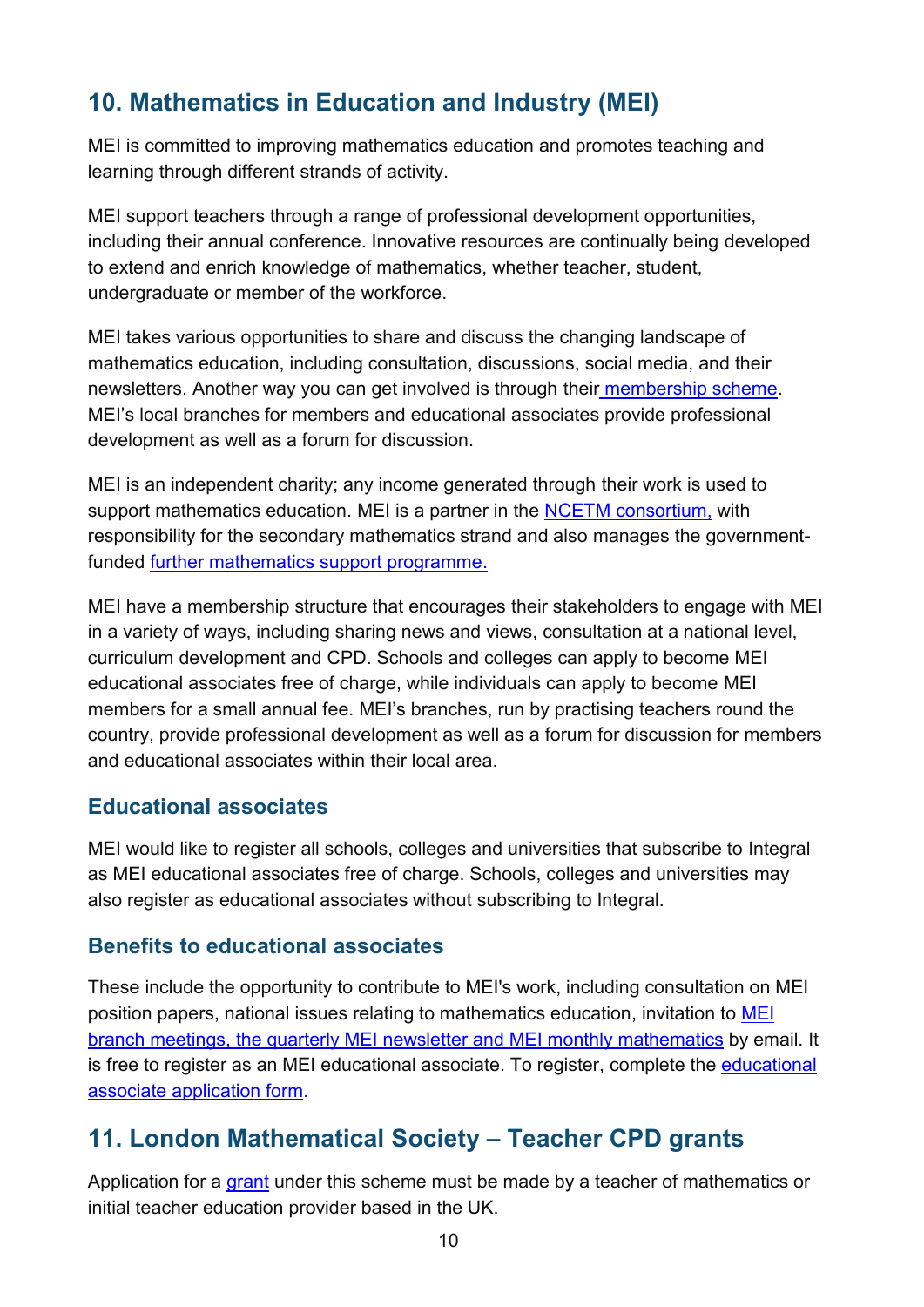# <span id="page-9-0"></span>**10. Mathematics in Education and Industry (MEI)**

MEI is committed to improving mathematics education and promotes teaching and learning through different strands of activity.

MEI support teachers through a range of professional development opportunities, including their annual conference. Innovative resources are continually being developed to extend and enrich knowledge of mathematics, whether teacher, student, undergraduate or member of the workforce.

MEI takes various opportunities to share and discuss the changing landscape of mathematics education, including consultation, discussions, social media, and their newsletters. Another way you can get involved is through their [membership scheme.](http://www.mei.org.uk/membership) MEI's local branches for members and educational associates provide professional development as well as a forum for discussion.

MEI is an independent charity; any income generated through their work is used to support mathematics education. MEI is a partner in the [NCETM consortium,](https://www.ncetm.org.uk/ncetm/about) with responsibility for the secondary mathematics strand and also manages the governmentfunded [further mathematics support programme.](http://www.furthermaths.org.uk/)

MEI have a membership structure that encourages their stakeholders to engage with MEI in a variety of ways, including sharing news and views, consultation at a national level, curriculum development and CPD. Schools and colleges can apply to become MEI educational associates free of charge, while individuals can apply to become MEI members for a small annual fee. MEI's branches, run by practising teachers round the country, provide professional development as well as a forum for discussion for members and educational associates within their local area.

#### <span id="page-9-1"></span>**Educational associates**

MEI would like to register all schools, colleges and universities that subscribe to Integral as MEI educational associates free of charge. Schools, colleges and universities may also register as educational associates without subscribing to Integral.

#### <span id="page-9-2"></span>**Benefits to educational associates**

These include the opportunity to contribute to MEI's work, including consultation on MEI position papers, national issues relating to mathematics education, invitation to [MEI](http://www.mei.org.uk/?section=aboutus&page=branches)  [branch meetings,](http://www.mei.org.uk/?section=aboutus&page=branches) the quarterly [MEI newsletter](http://www.mei.org.uk/?section=news&page=newsletters) and [MEI monthly mathematics](http://www.mei.org.uk/?section=news&page=monthlymaths) by email. It is free to register as an MEI educational associate. To register, complete the [educational](http://www.mei.org.uk/?page=apply_associate)  [associate application form.](http://www.mei.org.uk/?page=apply_associate)

#### <span id="page-9-3"></span>**11. London Mathematical Society – Teacher CPD grants**

Application for a [grant](https://www.lms.ac.uk/grants/teacher-cpd-grants) under this scheme must be made by a teacher of mathematics or initial teacher education provider based in the UK.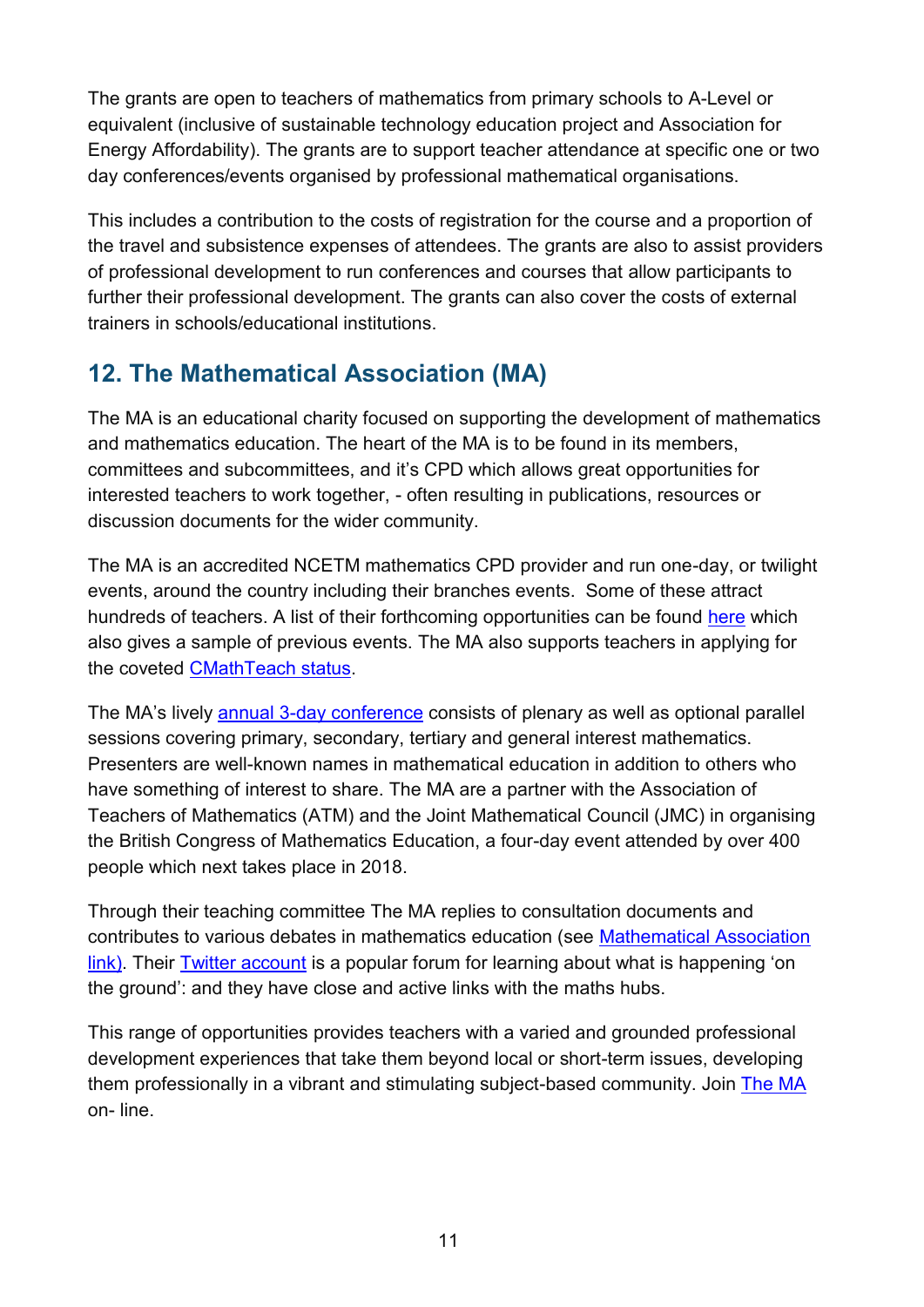The grants are open to teachers of mathematics from primary schools to A-Level or equivalent (inclusive of sustainable technology education project and Association for Energy Affordability). The grants are to support teacher attendance at specific one or two day conferences/events organised by professional mathematical organisations.

This includes a contribution to the costs of registration for the course and a proportion of the travel and subsistence expenses of attendees. The grants are also to assist providers of professional development to run conferences and courses that allow participants to further their professional development. The grants can also cover the costs of external trainers in schools/educational institutions.

# <span id="page-10-0"></span>**12. The Mathematical Association (MA)**

The MA is an educational charity focused on supporting the development of mathematics and mathematics education. The heart of the MA is to be found in its members, committees and subcommittees, and it's CPD which allows great opportunities for interested teachers to work together, - often resulting in publications, resources or discussion documents for the wider community.

The MA is an accredited NCETM mathematics CPD provider and run one-day, or twilight events, around the country including their branches events. Some of these attract hundreds of teachers. A list of their forthcoming opportunities can be found [here](http://www.m-a.org.uk/events) which also gives a sample of previous events. The MA also supports teachers in applying for the coveted [CMathTeach status.](http://www.cmathteach.org.uk/)

The MA's lively [annual 3-day conference](http://www.m-a.org.uk/annual-conference) consists of plenary as well as optional parallel sessions covering primary, secondary, tertiary and general interest mathematics. Presenters are well-known names in mathematical education in addition to others who have something of interest to share. The MA are a partner with the Association of Teachers of Mathematics (ATM) and the Joint Mathematical Council (JMC) in organising the British Congress of Mathematics Education, a four-day event attended by over 400 people which next takes place in 2018.

Through their teaching committee The MA replies to consultation documents and contributes to various debates in mathematics education (see [Mathematical Association](http://www.m-a.org.uk/we-say)  [link\)](http://www.m-a.org.uk/we-say). Their [Twitter account](https://twitter.com/Mathematical_A) is a popular forum for learning about what is happening 'on the ground': and they have close and active links with the maths hubs.

This range of opportunities provides teachers with a varied and grounded professional development experiences that take them beyond local or short-term issues, developing them professionally in a vibrant and stimulating subject-based community. Join [The](http://www.m-a.org.uk/join-the-ma) MA on- line.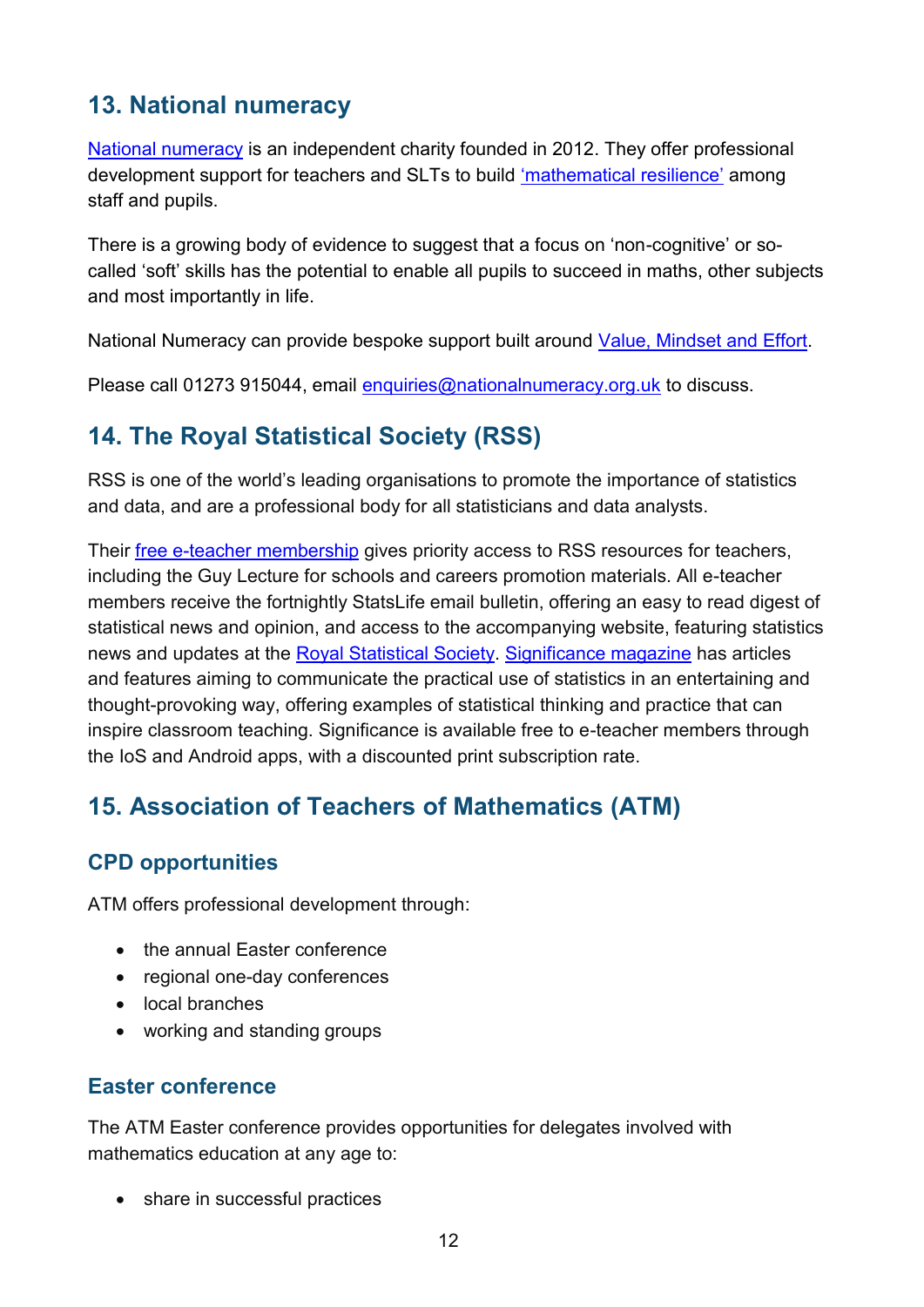# <span id="page-11-0"></span>**13. National numeracy**

[National numeracy](http://www.nationalnumeracy.org.uk/) is an independent charity founded in 2012. They offer professional development support for teachers and SLTs to build ['mathematical resilience'](http://www.nationalnumeracy.org.uk/research-elephant-classroom-why-maths-heart-character-development) among staff and pupils.

There is a growing body of evidence to suggest that a focus on 'non-cognitive' or socalled 'soft' skills has the potential to enable all pupils to succeed in maths, other subjects and most importantly in life.

National Numeracy can provide bespoke support built around [Value, Mindset and Effort.](https://www.youtube.com/watch?v=iwqb7Gof7Js)

Please call 01273 915044, email [enquiries@nationalnumeracy.org.uk](mailto:enquiries@nationalnumeracy.org.uk) to discuss.

# <span id="page-11-1"></span>**14. The Royal Statistical Society (RSS)**

RSS is one of the world's leading organisations to promote the importance of statistics and data, and are a professional body for all statisticians and data analysts.

Their [free e-teacher membership](http://www.rss.org.uk/eteacher) gives priority access to RSS resources for teachers, including the Guy Lecture for schools and careers promotion materials. All e-teacher members receive the fortnightly StatsLife email bulletin, offering an easy to read digest of statistical news and opinion, and access to the accompanying website, featuring statistics news and updates at the [Royal Statistical Society.](http://www.rss.org.uk/RSS/Join_the_RSS/Join_the_RSS/e-Teacher/RSS/Join_the_RSS/Join_the_RSS_sub/e-Teacher.aspx?hkey=b7da9d46-8d4d-4ba5-9eb1-61114dcbb8f1) [Significance magazine](https://www.statslife.org.uk/significance) has articles and features aiming to communicate the practical use of statistics in an entertaining and thought-provoking way, offering examples of statistical thinking and practice that can inspire classroom teaching. Significance is available free to e-teacher members through the IoS and Android apps, with a discounted print subscription rate.

# <span id="page-11-2"></span>**15. Association of Teachers of Mathematics (ATM)**

#### <span id="page-11-3"></span>**CPD opportunities**

ATM offers professional development through:

- the annual Easter conference
- regional one-day conferences
- local branches
- working and standing groups

#### <span id="page-11-4"></span>**Easter conference**

The ATM Easter conference provides opportunities for delegates involved with mathematics education at any age to:

• share in successful practices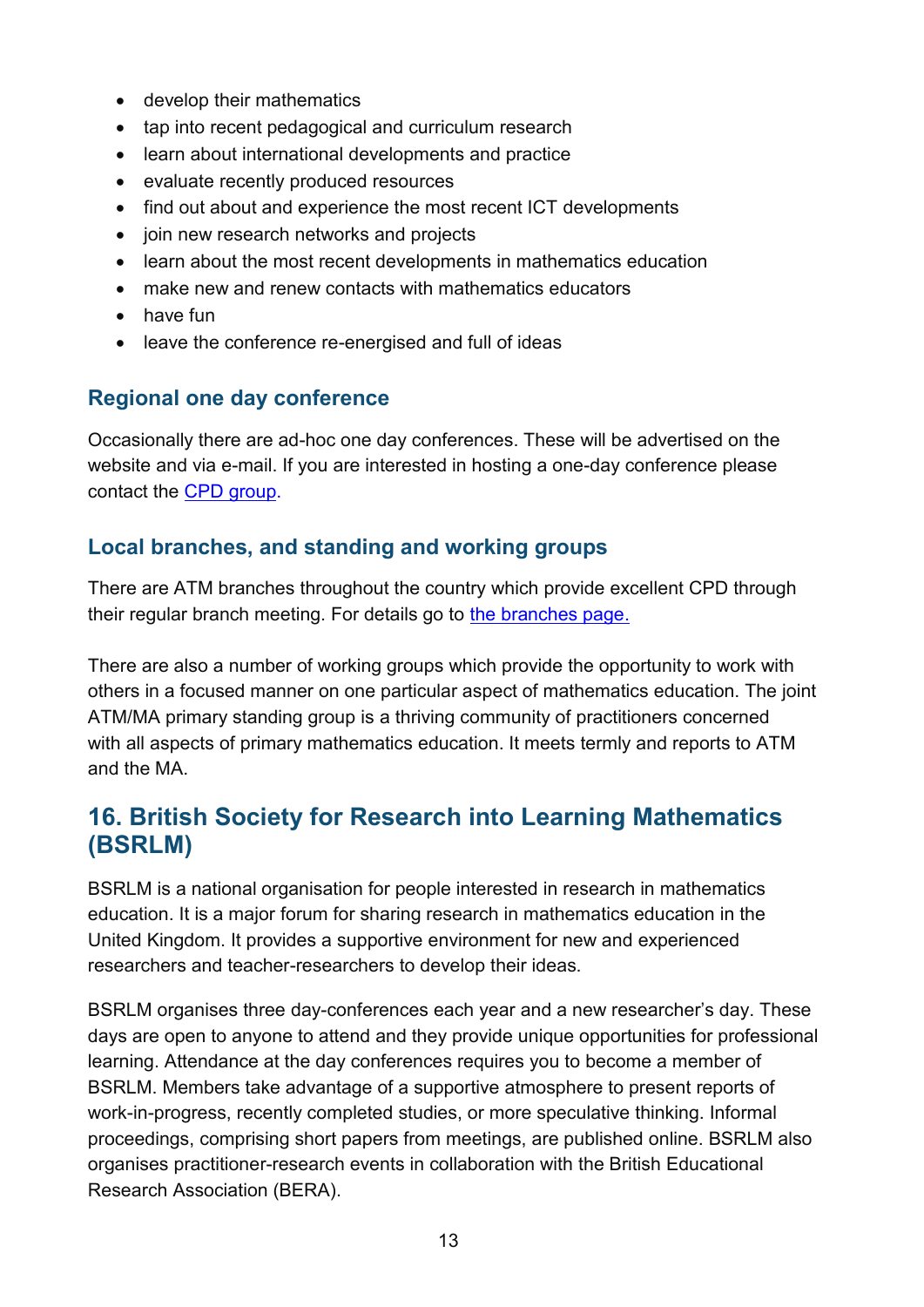- develop their mathematics
- tap into recent pedagogical and curriculum research
- learn about international developments and practice
- evaluate recently produced resources
- find out about and experience the most recent ICT developments
- join new research networks and projects
- learn about the most recent developments in mathematics education
- make new and renew contacts with mathematics educators
- have fun
- leave the conference re-energised and full of ideas

#### <span id="page-12-0"></span>**Regional one day conference**

Occasionally there are ad-hoc one day conferences. These will be advertised on the website and via e-mail. If you are interested in hosting a one-day conference please contact the [CPD group.](http://www.atm.org.uk/Enquiries)

#### <span id="page-12-1"></span>**Local branches, and standing and working groups**

There are ATM branches throughout the country which provide excellent CPD through their regular branch meeting. For details go to [the branches page.](http://www.atm.org.uk/Networks)

There are also a number of working groups which provide the opportunity to work with others in a focused manner on one particular aspect of mathematics education. The joint ATM/MA primary standing group is a thriving community of practitioners concerned with all aspects of primary mathematics education. It meets termly and reports to ATM and the MA.

## <span id="page-12-2"></span>**16. British Society for Research into Learning Mathematics (BSRLM)**

BSRLM is a national organisation for people interested in research in mathematics education. It is a major forum for sharing research in mathematics education in the United Kingdom. It provides a supportive environment for new and experienced researchers and teacher-researchers to develop their ideas.

BSRLM organises three [day-conferences](http://www.bsrlm.org.uk/events.html) each year and a new researcher's day. These days are open to anyone to attend and they provide unique opportunities for professional learning. Attendance at the day conferences requires you to become a member of BSRLM. Members take advantage of a supportive atmosphere to present reports of work-in-progress, recently completed studies, or more speculative thinking. Informal proceedings, comprising short papers from meetings, are published online. BSRLM also organises practitioner-research events in collaboration with the British Educational Research Association (BERA).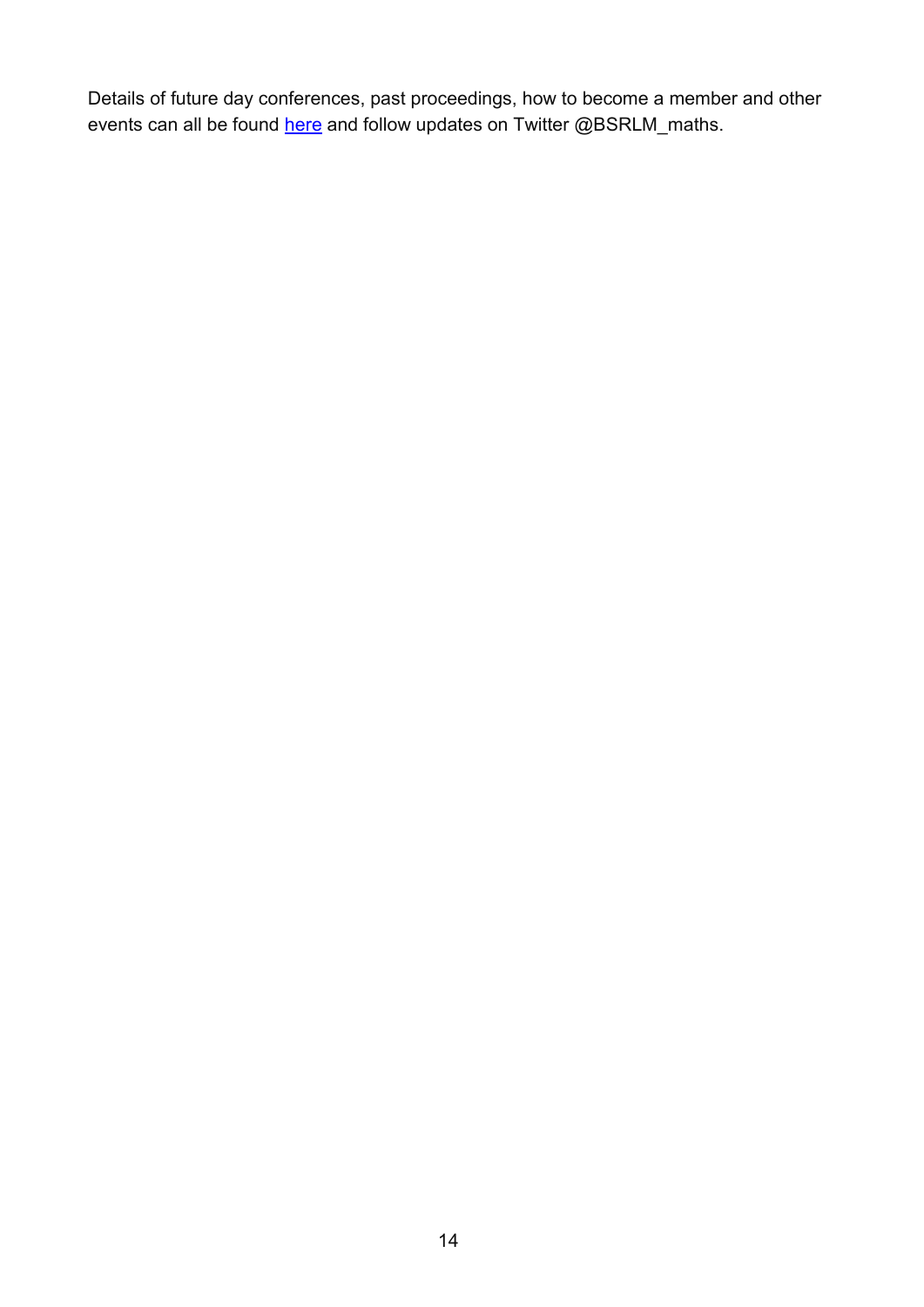Details of future day conferences, past proceedings, how to become a member and other events can all be found [here](http://www.bsrlm.org.uk/) and follow updates on Twitter [@BSRLM\\_maths.](https://twitter.com/BSRLM_maths)